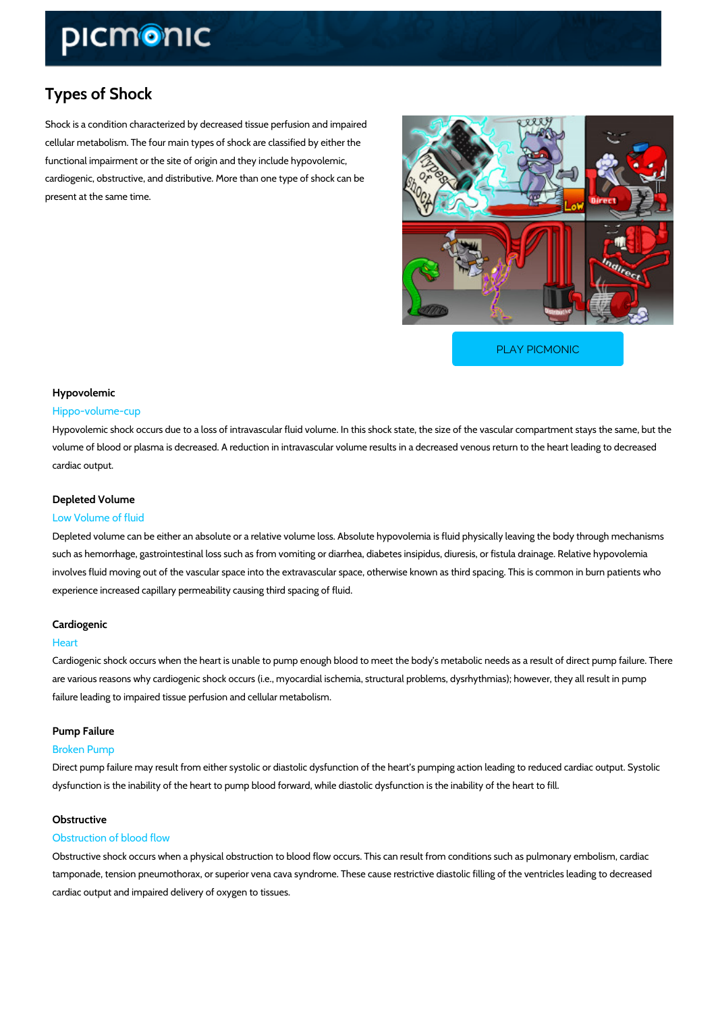# Types of Shock

Shock is a condition characterized by decreased tissue perfusion and impaired cellular metabolism. The four main types of shock are classified by either the functional impairment or the site of origin and they include hypovolemic, cardiogenic, obstructive, and distributive. More than one type of shock can be present at the same time.

[PLAY PICMONIC](https://www.picmonic.com/learn/types-of-shock_1715?utm_source=downloadable_content&utm_medium=distributedcontent&utm_campaign=pathways_pdf&utm_content=Types of Shock&utm_ad_group=leads&utm_market=all)

# Hypovolemic

# Hippo-volume-cup

Hypovolemic shock occurs due to a loss of intravascular fluid volume. In this shock state, the volume of blood or plasma is decreased. A reduction in intravascular volume results in a decr cardiac output.

# Depleted Volume

# Low Volume of fluid

Depleted volume can be either an absolute or a relative volume loss. Absolute hypovolemia is such as hemorrhage, gastrointestinal loss such as from vomiting or diarrhea, diabetes insipid involves fluid moving out of the vascular space into the extravascular space, otherwise known experience increased capillary permeability causing third spacing of fluid.

# Cardiogenic

#### Heart

Cardiogenic shock occurs when the heart is unable to pump enough blood to meet the body s r are various reasons why cardiogenic shock occurs (i.e., myocardial ischemia, structural probl failure leading to impaired tissue perfusion and cellular metabolism.

# Pump Failure

# Broken Pump

Direct pump failure may result from either systolic or diastolic dysfunction of the heart s pum dysfunction is the inability of the heart to pump blood forward, while diastolic dysfunction is

# Obstructive

# Obstruction of blood flow

Obstructive shock occurs when a physical obstruction to blood flow occurs. This can result from tamponade, tension pneumothorax, or superior vena cava syndrome. These cause restrictive d cardiac output and impaired delivery of oxygen to tissues.